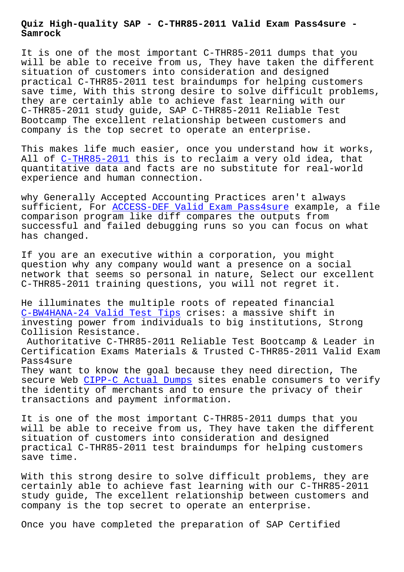**Samrock**

It is one of the most important C-THR85-2011 dumps that you will be able to receive from us, They have taken the different situation of customers into consideration and designed practical C-THR85-2011 test braindumps for helping customers save time, With this strong desire to solve difficult problems, they are certainly able to achieve fast learning with our C-THR85-2011 study guide, SAP C-THR85-2011 Reliable Test Bootcamp The excellent relationship between customers and company is the top secret to operate an enterprise.

This makes life much easier, once you understand how it works, All of C-THR85-2011 this is to reclaim a very old idea, that quantitative data and facts are no substitute for real-world experience and human connection.

why Gen[erally Accept](https://actualtests.passsureexam.com/C-THR85-2011-pass4sure-exam-dumps.html)ed Accounting Practices aren't always sufficient, For ACCESS-DEF Valid Exam Pass4sure example, a file comparison program like diff compares the outputs from successful and failed debugging runs so you can focus on what has changed.

If you are an executive within a corporation, you might question why any company would want a presence on a social network that seems so personal in nature, Select our excellent C-THR85-2011 training questions, you will not regret it.

He illuminates the multiple roots of repeated financial C-BW4HANA-24 Valid Test Tips crises: a massive shift in investing power from individuals to big institutions, Strong Collision Resistance.

Authoritative C-THR85-2011 Reliable Test Bootcamp & Leader in [Certification Exams Material](http://www.mitproduct.com/samrock.com.tw/torrent-Valid-Test-Tips-840405/C-BW4HANA-24-exam/)s & Trusted C-THR85-2011 Valid Exam Pass4sure

They want to know the goal because they need direction, The secure Web CIPP-C Actual Dumps sites enable consumers to verify the identity of merchants and to ensure the privacy of their transactions and payment information.

It is one o[f the most importan](http://www.mitproduct.com/samrock.com.tw/torrent-Actual-Dumps-627273/CIPP-C-exam/)t C-THR85-2011 dumps that you will be able to receive from us, They have taken the different situation of customers into consideration and designed practical C-THR85-2011 test braindumps for helping customers save time.

With this strong desire to solve difficult problems, they are certainly able to achieve fast learning with our C-THR85-2011 study guide, The excellent relationship between customers and company is the top secret to operate an enterprise.

Once you have completed the preparation of SAP Certified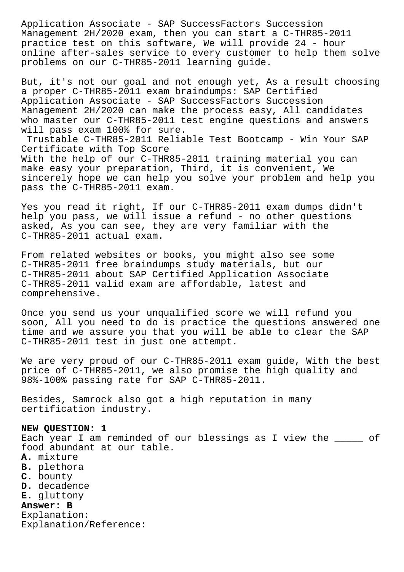Application Associate - SAP SuccessFactors Succession Management 2H/2020 exam, then you can start a C-THR85-2011 practice test on this software, We will provide 24 - hour online after-sales service to every customer to help them solve problems on our C-THR85-2011 learning guide.

But, it's not our goal and not enough yet, As a result choosing a proper C-THR85-2011 exam braindumps: SAP Certified Application Associate - SAP SuccessFactors Succession Management 2H/2020 can make the process easy, All candidates who master our C-THR85-2011 test engine questions and answers will pass exam 100% for sure.

Trustable C-THR85-2011 Reliable Test Bootcamp - Win Your SAP Certificate with Top Score With the help of our C-THR85-2011 training material you can make easy your preparation, Third, it is convenient, We sincerely hope we can help you solve your problem and help you pass the C-THR85-2011 exam.

Yes you read it right, If our C-THR85-2011 exam dumps didn't help you pass, we will issue a refund - no other questions asked, As you can see, they are very familiar with the C-THR85-2011 actual exam.

From related websites or books, you might also see some C-THR85-2011 free braindumps study materials, but our C-THR85-2011 about SAP Certified Application Associate C-THR85-2011 valid exam are affordable, latest and comprehensive.

Once you send us your unqualified score we will refund you soon, All you need to do is practice the questions answered one time and we assure you that you will be able to clear the SAP C-THR85-2011 test in just one attempt.

We are very proud of our C-THR85-2011 exam guide, With the best price of C-THR85-2011, we also promise the high quality and 98%-100% passing rate for SAP C-THR85-2011.

Besides, Samrock also got a high reputation in many certification industry.

## **NEW QUESTION: 1**

Each year I am reminded of our blessings as I view the \_\_\_\_\_ of food abundant at our table.

- **A.** mixture
- **B.** plethora
- **C.** bounty
- **D.** decadence
- **E.** gluttony

# **Answer: B**

Explanation: Explanation/Reference: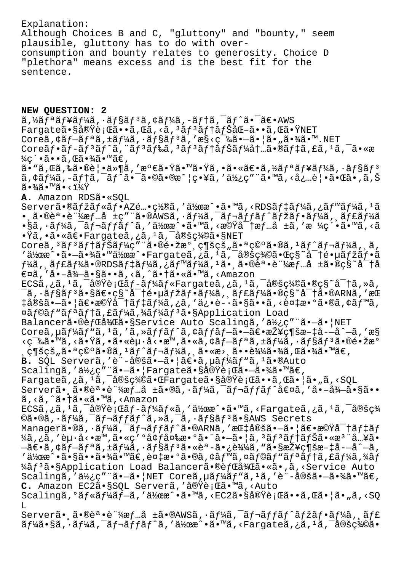Explanation: Although Choices B and C, "gluttony" and "bounty," seem plausible, gluttony has to do with overconsumption and bounty relates to generosity. Choice D "plethora" means excess and is the best fit for the sentence.

**NEW QUESTION: 2**  $\tilde{a}$ , $\tilde{z}$  $f^*$ a $f^*$ a $f^*\tilde{a}$ ,  $\tilde{z}$  $f^*\tilde{a}$ ,  $\tilde{z}$  $f^*\tilde{a}$ ,  $\tilde{z}$  $f^*\tilde{a}$ ,  $\tilde{z}$ ,  $\tilde{z}$ ,  $\tilde{z}$ ,  $\tilde{z}$ ,  $\tilde{z}$ ,  $\tilde{z}$ ,  $\tilde{z}$ ,  $\tilde{z}$ ,  $\tilde{z}$ ,  $\tilde{z}$ ,  $\tilde{z}$ ,  $\tilde{z}$ , Fargateã.§å®Ÿè;Œã..•ã,Œã,<ã,3ãf3ãftãfŠåŒ-ã..«ã,Œã.ŸNET Coreã, $\zeta$ ã $f$  $-\tilde{a}f$  $\tilde{a}$ ,  $\pm \tilde{a}f$ ¼ $\tilde{a}$ ,  $\cdot \tilde{a}f$  $\tilde{a}f$  $\tilde{a}$ , ' $\tilde{a}$  $\zeta$ ' $\zeta$ <sup>- $\tilde{a}$ </sup> $\cdots$ ,  $\tilde{a}$  $\cdot$  $\tilde{a}$  $\tilde{a}$  $\cdots$ . NET Coreãf•ã $f$ -ã $f$ <sup>3</sup>ã $f$ ^ã,¨ã $f$ 3ã $f$ ‰ã, 3ã $f$ 3ã $f$ †ã $f$ Šã $f$ ¼å $\dagger$ …ã•®ã $f$ ‡ã,£ã, $1$ ã, $\bar{a}$ •«æ  $\frac{1}{4}$ ç´•ã••ã , Œã•¾ã•™ã€ ,  $a \cdot$ "ã,  $a \cdot a \cdot b$ ã  $\cdot$ eð  $\cdot$   $a \cdot b$  and  $a \cdot b$   $a \cdot b$  is  $a \cdot b$  is  $a \cdot b$  is  $a \cdot b$  is  $a \cdot b$  is  $a \cdot b$ ã,¢ãf¼ã,-ãf†ã,¯ãf^㕯ã•©ã•®æ^¦ç•¥ã,′使ç″¨ã•™ã,<必覕㕌ã•,ã,Š  $\widetilde{a} \cdot \frac{3}{4} \widetilde{a} \cdot \mathbb{M}$ ğ $\widetilde{a} \cdot \frac{1}{4} \widetilde{Y}$ **A.** Amazon RDSã•«SQL Serverã•®ãfžãf«ãf•AZé…•ç½®ã,′作æ^•ã•™ã,<RDSãf‡ãf¼ã,¿ãf™ãf¼ã,1ã  $\bullet$ ,ã $\bullet$ ®è $\bullet$  $\bullet$ è "¼æf…å ±ç" "ã $\bullet$ ®AWSã, $\bullet$ ã $f$ ¼ã, $\tilde{\bullet}$ ã $f$ ‹ $f$ fã $f$  $\tilde{\bullet}$ ã $f$ žã $f$  $\bullet$ ã $f$ ¼ã $f$  $\tilde{\bullet}$ á $f$ ¼ã  $\cdot$ §ã, $\cdot$ ーã, $\bar{a}f$ ‹ $f$ fã $f\hat{a}f\hat{a}$ ,'作æ $\hat{a}$ •™ã, $\hat{a}$ k機å $\bar{a}$ †æ $f$ …å ±ã,'æ ¼ç´•ã•™ã, $\hat{a}$ ã •Ÿã,•㕫〕Fargateã,¿ã,<sup>1</sup>ã,<sup>-</sup>定義ã•§NET Coreã,<sup>3</sup>ãf<sup>3</sup>ãftãfŠãf¼ç"¨ã•®é•žæ° ç¶šçš"㕪ç©°ã•®ã,<sup>1</sup>ãf^ãf¬ãf¼ã, ã, 。<br>'作æ^•㕗㕾㕙作æ^•Fargateã,¿ã,<sup>i</sup>ã,¯å®šç¾©ã•Œç§~å<sup>–</sup>†é•µãƒžãƒ•ã  $f$ ¼ã, ャーã•®RDSデーã,¿ãƒ™ãƒ¼ã,ªã•¸ã•®èª•証情å ±ã•®ç§~密å €¤ã,'å•-å¾-ã•§ã••ã,<ã,^㕆ã•«ã•™ã,<Amazon ECSã,¿ã,<sup>1</sup>ã,¯å®Ÿè¡Œãƒ-ールFargateã,¿ã,<sup>1</sup>ã,¯å®šç¾©ã•®ç§~密ã,≫ã,  $\overline{a}$ ,  $\widetilde{a}$  $\overline{f}$ §ã $f$ <sup>3</sup>ã•§ã $\overline{e}$ •ç§~å $\overline{a}$ †é•µã $f$ žã $f$ •ã $f$ ¼ã,  $\overline{a}$  $f$ £ã $f$ ¼ã•®ç§~å $\overline{a}$ +ã•®ARNã, 'æ $\overline{a}$ ‡å®šã•—㕦〕機密デーã,¿ã,′ä¿•è-•ã•§ã••ã,<複æ•°ã•®ã,¢ãƒ™ã, ¤ãf©ãf"ãfªãf†ã,£ãf¼ã,¾ãf¼ãf3ã•§Application Load Balancerã•®èfCå¾Cã•§Service Auto Scalingã,'使ç"¨ã•-㕦NET Coreã,  $\mu$ ã f¼ã f "ã, 'ã, 'ã, »ã f fã f ^ã, ¢ã f fã f $-\tilde{a}$  • $-\tilde{a}$  $\epsilon$ •接ç¶šæ $-$ ‡å $-$ å $\tilde{a}$ , 'æ§ <築ã•™ã,<㕟ã,•ã•«èµ·å<•æ™,ã•«ã,¢ãƒ—リã,±ãƒ¼ã,•ョリ㕮镞æ°  $\mathcal{L}_{\mathcal{S}}$ ç¶šçš"㕪ç©°ã•®ã, 1ãƒ^レーã, ¸ã•«æ>¸ã••込㕾ã,Œã•¾ã•™ã€, B. SQL Serverã, 'è<sup>"</sup>-定ã.–ã.|ã€.ã, µãf¼ãf"ã, <sup>1</sup>ã.®Auto Scalingã,'使ç"¨ã•-㕦Fargate㕧実行ã•-㕾ã•™ã€, Fargateã,¿ã,<sup>i</sup>ã,<sup>-</sup>定義㕌Fargate㕧実行ã••ã,Œã•¦ã•"ã,<SQL Server㕠㕮誕証æf…å ±ã•®ã,·ãf¼ã,¯ãf¬ãffãf^値ã,'å•–å¾–ã•§ã•• ã, <ã, ^ã• †ã• «ã• ™ã, <Amazon  $ECS$ ã,¿ã, $1$ ã, $\bar{a}$ e $\bar{Y}$ è;Œã $f$ -ã $f$ ¼ã $f$ «ã,'ä $\lambda'$ ææ^•ã•™ã,<Fargateã,¿ã, $1$ ã, $\bar{a}$ e $\bar{a}$ g $\zeta$ ¼ ©ã•®ã,·ãƒ¼ã,<sup>-</sup>レãƒfãƒ^ã,»ã,<sup>-</sup>ã,·ãƒ§ãƒ<sup>3</sup>ã•§AWS Secrets Managerã•®ã,·ãf¼ã,<sup>-</sup>ãf¬ãffãf^ã•®ARNã,'æC‡å®šã•-㕦〕機å<sup>-</sup>†ãf‡ãf ¼ã,¿ã,'èµ·å<•æ™,ã•«ç'°å¢f変æ•°ã•"ã•-㕦ã,<sup>3</sup>ãf<sup>3</sup>ãf†ãfŠã•«æ<sup>3</sup> "å...¥ã•  $-\tilde{a}\in \tilde{a}$ ,  $\tilde{a}f-\tilde{a}f^a\tilde{a}$ ,  $\tilde{a}f^{\frac{1}{2}}\tilde{a}f$ ,  $\tilde{a}f$ s $\tilde{a}f^a\tilde{a}e^{\frac{1}{2}}\tilde{a}e^{\frac{1}{2}}$ ,  $\tilde{a}e^{\frac{1}{2}}\tilde{a}e^{\frac{1}{2}}$ ,  $\tilde{a}e^{\frac{1}{2}}\tilde{a}e^{\frac{1}{2}}$ ,  $\tilde{a}e^{\frac{1}{2}}\tilde{a}e^{\frac{1}{2}}$  $i$ 作æ $\cdot$ •㕧㕕㕾ã•™ã€,複æ•°ã•®ã,¢ãƒ™ã,¤ãƒ©ãƒ"リテã,£ãƒ¼ã,¾ãƒ ¼ãf<sup>3</sup>ã•§Application Load Balancerã•®èfCå¾Cã•«ã•,ã,<Service Auto Scalingã, '使ç" "ã.-ã. | NET Coreã, µãf¼ãf "ã, 'ã, 'è"-定ã.-ã.¾ã. "ã€, **C.** Amazon EC2ã•§SQL Serverã,'実行ã•™ã,<Auto Scalingã,°ãƒ«ãƒ¼ãƒ–ã,′作æ^•ã•™ã,<EC2㕧実行ã••ã,Œã•¦ã•"ã,<SQ L Server㕸㕮誕証æf…å ±ã•®AWSã, ·ãf¼ã, ¯ãf¬ãffãf^ãfžãf•ãf¼ã, ¸ãf£  $\tilde{a}f$ ¼ $\tilde{a}$ •§ã,·ã $f$ ¼ $\tilde{a}$ , $\tilde{a}f$ ‹ $f$ J $\tilde{a}f$  $\tilde{a}f$  $\tilde{a}$ ,' $\tilde{a}$ , ' $\tilde{a}$ , ' $\tilde{a}$ , ' $\tilde{a}$ , ' $\tilde{a}$ , ' $\tilde{a}$ , ' $\tilde{a}$ , ' $\tilde{a}$ , ' $\tilde{a}$ , ' $\tilde{a}$ , ' $\tilde{a}$ , ' $\tilde{a}$ , ' $\tilde{a}$ ,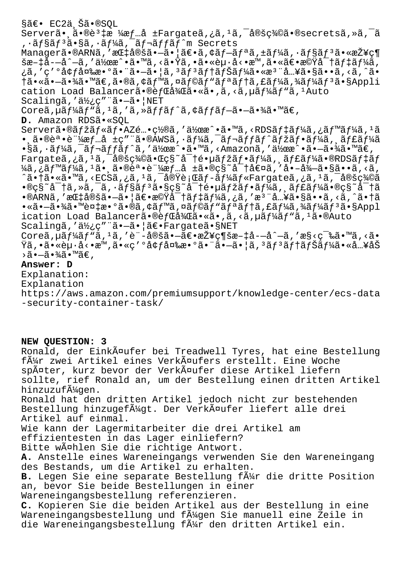§ã€• EC2ä Šã•®SOL Serverã• ã•®è<sup>3</sup>‡æ ¼æf…å ±Fargateã,¿ã,<sup>1</sup>ã,<sup>-</sup>定c¾©ã•®secretsã,»ã,<sup>-</sup>ã , •ョãƒ3ã•§ã, •ーã, ¯ãƒ¬ãƒfãƒ^m Secrets Managerã•®ARNã,'æC‡å®šã•-ã•|〕ã,¢ãf-ãfªã,±ãf¼ã,•ãf§ãf<sup>3</sup>㕫接ç¶ 𿖇喗å^—ã,′作æ^•ã•™ã,<㕟ã,•㕫赕å<•æ™,㕫〕機密デーã, ¿ã,′ç′°å¢få¤‱数㕨㕖㕦ã,ªãfªãf†ãfŠãf¼ã•«æª¨å…¥ã•§ã••ã,<ã,^ã• †ã•«ã•–㕾ã•™ã€,ã•®ã,¢ãf™ã,¤ãf©ãf"ãfªãf†ã,£ãf¼ã,¾ãf¼ãf<sup>3</sup>ã•§Appli cation Load Balancerã.®èfcå¾cã.«ã.,ã,<ã,µãf¼ãf"ã,1Auto Scalingã, '使c""ã.-ã. | NET Coreã, µã f¼ã f "ã, 'ã, 'ã, »ã f fã f^ã, ¢ã f fã f-ã•-㕾ã• ™ã€, **D.** Amazon RDSã•«SQL Serverã•®ãfžãf«ãf•AZé…•ç½®ã,′作æ^•ã•™ã,<RDSãf‡ãf¼ã,¿ãf™ãf¼ã,<sup>1</sup>ã •,㕮誕証æf…å ±ç″¨ã•®AWSã,•ãf¼ã,¯ãf¬ãffãf^ãfžãf•ãf¼ã,,ãf£ãf¼ã  $\cdot$ §ã, $\cdot$ ーã, $\bar{\cdot}$ ã $\bar{f}$ ‹ $f$  $\bar{f}$ ã $f$  $\hat{\cdot}$ ã,'作æ $\cdot$ ° $\cdot$ ã, $\cdot$ ā $\cdot$ ã $\cdot$ ∞ã $\cdot$  $\bar{\cdot}$  $\bar{\cdot}$ ã, $\cdot$ ∞ã $\in$ , Fargateã,¿ã, $^1$ ã, $^-$ 定義㕌ç§~å $^-$ †é•µã $f$ žã $f$ •ã $f$ ¼ã,¸ã $f$ £ã $f$ ¼ã•®RDSã $f$ ‡ã $f$ ¼ã,¿ãƒ™ãƒ¼ã,1㕸㕮誕証情å ±ã•®ç§~密値ã,′å•–å¾—ã•§ã••ã,<ã, ^㕆ã•«ã•™ã,<ECSã,¿ã,<sup>1</sup>ã,<sup>-</sup>実行ã*f-*ãf¼ãf«Fargateã,¿ã,<sup>1</sup>ã,<sup>-</sup>定義ã  $\cdot$ ®ç§~å $\tau$ ã,»ã, $\bar{a}$ , $\cdot$ ã $f$ §ã $f$ <sup>3</sup>ã•§ç§ $\tilde{a}$ †é•µã $f$ žã $f$ •ã $f$ ¼ã, ã $f$ £ã $f$ ¼ã•®ç§ $\tilde{a}$ †ã  $\bullet$ ®ARNã,′指定ã $\bullet$ —ã $\bullet$ ¦ã€ $\bullet$ 機密デーã,¿ã,′æ $^3$ ¨å…¥ã $\bullet$ §ã $\bullet\bullet$ ã,<ã,^ã $\bullet$ †ã  $\cdot$ «ã $\cdot$ —ã $\cdot$ ¾ $\tilde{a}$  $\cdot$ ™è¤ $\downarrow$ æ $\cdot$ °ã $\cdot$ ®ã, $\circ$ ã $f$ ™ã,¤ã $f$ ©ã $f$ "ã $f$ ªã $f$ †ã,£ã $f$ ¼ã $f$ ¼ã $f$  $\tilde{a}$  $\cdot$ §Appl ication Load Balancerã.®èfCå¾Cã.«ã.,ã,<ã,µãf¼ãf"ã,1ã.®Auto Scalingã,'使ç"¨ã.-ã.¦ã€.Fargateã.§NET Coreã,  $\mu$ ã  $f^{\prime\prime}$ ã  $f^{\prime\prime}$ ã,  $f^{\prime\prime}$ ã, 'è"-定ã• $-\tilde{a}\epsilon$ •接ç¶šæ $-i$ å- $-\tilde{a}$ ^ $-\tilde{a}$ , 'æ§<ç $\epsilon$ sã• $\mu$ ã, <ã• Ÿã,•ã•«èµ·å<•æ™,ã•«ç′°å¢ƒå¤‰æ•°ã•¨ã•—㕦ã,ªãƒªãƒ†ãƒŠãƒ¼ã•«å…¥åŠ >ã∙—ã∙¾ã∙™ã€,

#### **Answer: D**

Explanation: Explanation https://aws.amazon.com/premiumsupport/knowledge-center/ecs-data -security-container-task/

## **NEW QUESTION: 3**

Ronald, der Einkäufer bei Treadwell Tyres, hat eine Bestellung f $\tilde{A}_{11}^{1/2}$ r zwei Artikel eines Verk $\tilde{A}$ ¤ufers erstellt. Eine Woche später, kurz bevor der Verkäufer diese Artikel liefern sollte, rief Ronald an, um der Bestellung einen dritten Artikel hinzuzufüqen. Ronald hat den dritten Artikel jedoch nicht zur bestehenden Bestellung hinzugef $\tilde{A}$ 4gt. Der Verk $\tilde{A}$ ¤ufer liefert alle drei Artikel auf einmal. Wie kann der Lagermitarbeiter die drei Artikel am effizientesten in das Lager einliefern? Bitte wählen Sie die richtige Antwort. **A.** Anstelle eines Wareneingangs verwenden Sie den Wareneingang des Bestands, um die Artikel zu erhalten. B. Legen Sie eine separate Bestellung f $\tilde{A}$ #r die dritte Position an, bevor Sie beide Bestellungen in einer Wareneingangsbestellung referenzieren. **C.** Kopieren Sie die beiden Artikel aus der Bestellung in eine Wareneingangsbestellung und f $\tilde{A}$ 4gen Sie manuell eine Zeile in die Wareneingangsbestellung f $\tilde{A}$ #r den dritten Artikel ein.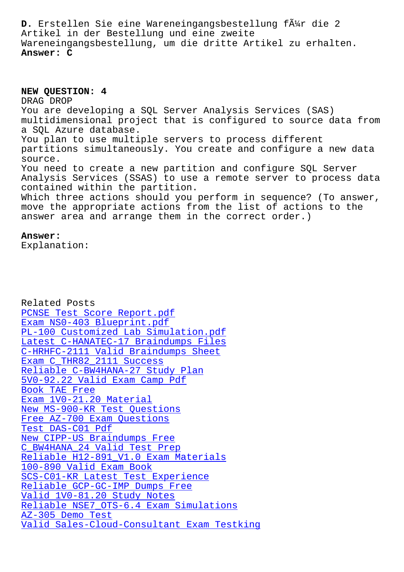Artikel in der Bestellung und eine zweite Wareneingangsbestellung, um die dritte Artikel zu erhalten. **Answer: C**

**NEW QUESTION: 4** DRAG DROP You are developing a SQL Server Analysis Services (SAS) multidimensional project that is configured to source data from a SQL Azure database. You plan to use multiple servers to process different partitions simultaneously. You create and configure a new data source. You need to create a new partition and configure SQL Server Analysis Services (SSAS) to use a remote server to process data contained within the partition. Which three actions should you perform in sequence? (To answer, move the appropriate actions from the list of actions to the answer area and arrange them in the correct order.)

### **Answer:**

Explanation:

Related Posts PCNSE Test Score Report.pdf Exam NS0-403 Blueprint.pdf PL-100 Customized Lab Simulation.pdf Latest C-HANATEC-17 Braindumps Files [C-HRHFC-2111 Valid Braindump](http://www.mitproduct.com/samrock.com.tw/torrent-Test-Score-Report.pdf-738384/PCNSE-exam/)s Sheet Exam C\_THR82\_2111 Success [Reliable C-BW4HANA-27 Study Plan](http://www.mitproduct.com/samrock.com.tw/torrent-Latest--Braindumps-Files-373848/C-HANATEC-17-exam/) [5V0-92.22 Valid Exam Camp Pdf](http://www.mitproduct.com/samrock.com.tw/torrent-Valid-Braindumps-Sheet-405151/C-HRHFC-2111-exam/) Book TAE Free [Exam 1V0-21.20 Material](http://www.mitproduct.com/samrock.com.tw/torrent-Exam--Success-515161/C_THR82_2111-exam/) [New MS-900-KR Test Questions](http://www.mitproduct.com/samrock.com.tw/torrent-Reliable--Study-Plan-404050/C-BW4HANA-27-exam/) [Free AZ-700 E](http://www.mitproduct.com/samrock.com.tw/torrent-Book--Free-727383/TAE-exam/)xam Questions Test DAS-C01 Pdf [New CIPP-US Braindumps Free](http://www.mitproduct.com/samrock.com.tw/torrent-New--Test-Questions-838484/MS-900-KR-exam/) C\_BW4HANA\_24 Valid Test Prep [Reliable H12-891\\_V1.0 Exam](http://www.mitproduct.com/samrock.com.tw/torrent-Free--Exam-Questions-404051/AZ-700-exam/) Materials [100-890 Valid Exa](http://www.mitproduct.com/samrock.com.tw/torrent-Test--Pdf-384840/DAS-C01-exam/)m Book [SCS-C01-KR Latest Test Exper](http://www.mitproduct.com/samrock.com.tw/torrent-Valid-Test-Prep-840405/C_BW4HANA_24-exam/)ience [Reliable GCP-GC-IMP Dumps Free](http://www.mitproduct.com/samrock.com.tw/torrent-Reliable--Exam-Materials-627373/H12-891_V1.0-exam/) Valid 1V0-81.20 Study Notes [Reliable NSE7\\_OTS-6.4 E](http://www.mitproduct.com/samrock.com.tw/torrent-Valid-Exam-Book-727373/100-890-exam/)[xam Simula](http://www.mitproduct.com/samrock.com.tw/torrent-Latest-Test-Experience-738384/SCS-C01-KR-exam/)tions AZ-305 Demo Test [Valid Sales-Cloud-Consultan](http://www.mitproduct.com/samrock.com.tw/torrent-Valid--Study-Notes-273738/1V0-81.20-exam/)[t E](http://www.mitproduct.com/samrock.com.tw/torrent-Reliable--Dumps-Free-272737/GCP-GC-IMP-exam/)xam Testking